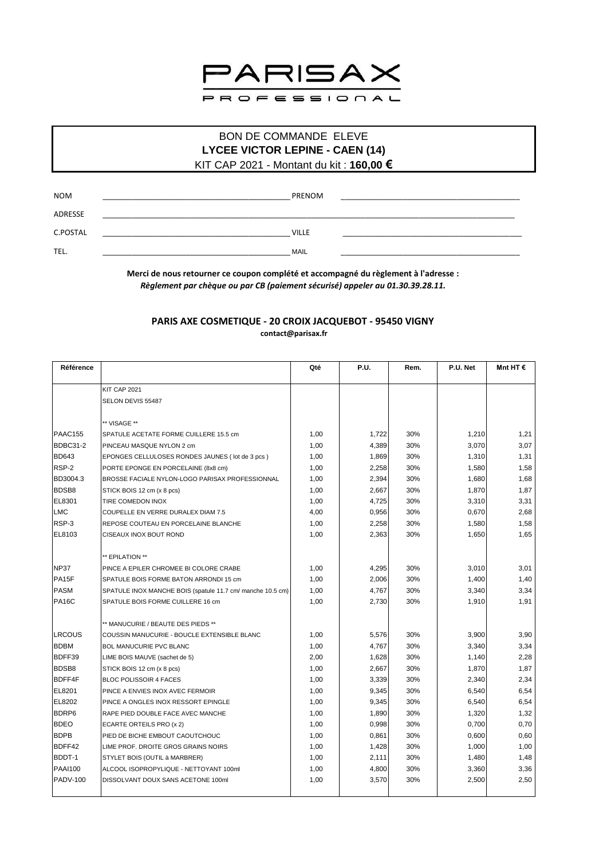

## **BON DE COMMANDE ELEVE LYCEE VICTOR LEPINE - CAEN (14)** KIT CAP 2021 - Montant du kit : 160,00 €

| <b>NOM</b> | PRENOM       |  |
|------------|--------------|--|
| ADRESSE    |              |  |
| C.POSTAL   | <b>VILLE</b> |  |
| TEL.       | <b>MAIL</b>  |  |

Merci de nous retourner ce coupon complété et accompagné du règlement à l'adresse : Règlement par chèque ou par CB (paiement sécurisé) appeler au 01.30.39.28.11.

## PARIS AXE COSMETIQUE - 20 CROIX JACQUEBOT - 95450 VIGNY contact@parisax.fr

| Référence          |                                                            | Qté  | <b>P.U.</b> | Rem. | P.U. Net | Mnt HT $\epsilon$ |
|--------------------|------------------------------------------------------------|------|-------------|------|----------|-------------------|
|                    | KIT CAP 2021                                               |      |             |      |          |                   |
|                    | SELON DEVIS 55487                                          |      |             |      |          |                   |
|                    | ** VISAGE **                                               |      |             |      |          |                   |
| IPAAC155           | <b>I</b> SPATULE ACETATE FORME CUILLERE 15.5 cm            | 1,00 | 1,722       | 30%  | 1,210    | 1,21              |
| BDBC31-2           | PINCEAU MASQUE NYLON 2 cm                                  | 1,00 | 4,389       | 30%  | 3,070    | 3,07              |
| <b>BD643</b>       | EPONGES CELLULOSES RONDES JAUNES (lot de 3 pcs)            | 1,00 | 1,869       | 30%  | 1,310    | 1,31              |
| RSP-2              | PORTE EPONGE EN PORCELAINE (8x8 cm)                        | 1,00 | 2,258       | 30%  | 1,580    | 1,58              |
| <b>BD3004.3</b>    | BROSSE FACIALE NYLON-LOGO PARISAX PROFESSIONNAL            | 1,00 | 2,394       | 30%  | 1,680    | 1,68              |
| <b>BDSB8</b>       | STICK BOIS 12 cm (x 8 pcs)                                 | 1,00 | 2,667       | 30%  | 1,870    | 1,87              |
| EL8301             | <b>TIRE COMEDON INOX</b>                                   | 1,00 | 4,725       | 30%  | 3,310    | 3,31              |
| LMC                | COUPELLE EN VERRE DURALEX DIAM 7.5                         | 4,00 | 0,956       | 30%  | 0,670    | 2,68              |
| RSP-3              | REPOSE COUTEAU EN PORCELAINE BLANCHE                       | 1,00 | 2,258       | 30%  | 1,580    | 1,58              |
| EL8103             | <b>CISEAUX INOX BOUT ROND</b>                              | 1,00 | 2,363       | 30%  | 1,650    | 1,65              |
|                    | ** EPILATION **                                            |      |             |      |          |                   |
| <b>NP37</b>        | PINCE A EPILER CHROMEE BI COLORE CRABE                     | 1,00 | 4,295       | 30%  | 3,010    | 3,01              |
| PA <sub>15</sub> F | SPATULE BOIS FORME BATON ARRONDI 15 cm                     | 1,00 | 2,006       | 30%  | 1,400    | 1,40              |
| PASM               | SPATULE INOX MANCHE BOIS (spatule 11.7 cm/ manche 10.5 cm) | 1,00 | 4,767       | 30%  | 3,340    | 3,34              |
| <b>PA16C</b>       | SPATULE BOIS FORME CUILLERE 16 cm                          | 1,00 | 2,730       | 30%  | 1,910    | 1,91              |
|                    | ** MANUCURIE / BEAUTE DES PIEDS **                         |      |             |      |          |                   |
| <b>LRCOUS</b>      | COUSSIN MANUCURIE - BOUCLE EXTENSIBLE BLANC                | 1,00 | 5,576       | 30%  | 3,900    | 3,90              |
| <b>BDBM</b>        | <b>BOL MANUCURIE PVC BLANC</b>                             | 1,00 | 4,767       | 30%  | 3,340    | 3,34              |
| BDFF39             | LIME BOIS MAUVE (sachet de 5)                              | 2,00 | 1,628       | 30%  | 1,140    | 2,28              |
| <b>BDSB8</b>       | STICK BOIS 12 cm (x 8 pcs)                                 | 1,00 | 2,667       | 30%  | 1,870    | 1,87              |
| <b>BDFF4F</b>      | <b>BLOC POLISSOIR 4 FACES</b>                              | 1,00 | 3,339       | 30%  | 2,340    | 2,34              |
| EL8201             | PINCE A ENVIES INOX AVEC FERMOIR                           | 1,00 | 9,345       | 30%  | 6,540    | 6,54              |
| EL8202             | PINCE A ONGLES INOX RESSORT EPINGLE                        | 1,00 | 9,345       | 30%  | 6,540    | 6,54              |
| <b>BDRP6</b>       | RAPE PIED DOUBLE FACE AVEC MANCHE                          | 1,00 | 1,890       | 30%  | 1,320    | 1,32              |
| <b>BDEO</b>        | ECARTE ORTEILS PRO (x 2)                                   | 1,00 | 0,998       | 30%  | 0,700    | 0,70              |
| <b>BDPB</b>        | PIED DE BICHE EMBOUT CAOUTCHOUC                            | 1,00 | 0,861       | 30%  | 0,600    | 0,60              |
| BDFF42             | LIME PROF. DROITE GROS GRAINS NOIRS                        | 1,00 | 1,428       | 30%  | 1,000    | 1,00              |
| BDDT-1             | STYLET BOIS (OUTIL à MARBRER)                              | 1,00 | 2,111       | 30%  | 1,480    | 1,48              |
| PAAI100            | ALCOOL ISOPROPYLIQUE - NETTOYANT 100ml                     | 1,00 | 4,800       | 30%  | 3,360    | 3,36              |
| <b>PADV-100</b>    | DISSOLVANT DOUX SANS ACETONE 100ml                         | 1,00 | 3,570       | 30%  | 2,500    | 2,50              |
|                    |                                                            |      |             |      |          |                   |